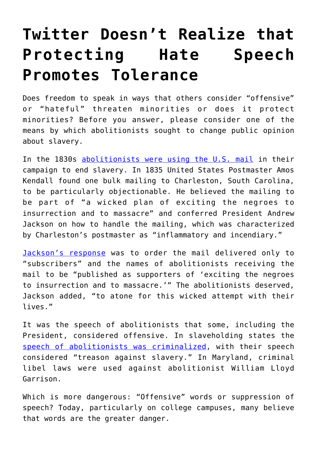## **[Twitter Doesn't Realize that](https://intellectualtakeout.org/2016/11/twitter-doesnt-realize-that-protecting-hate-speech-promotes-tolerance/) [Protecting Hate Speech](https://intellectualtakeout.org/2016/11/twitter-doesnt-realize-that-protecting-hate-speech-promotes-tolerance/) [Promotes Tolerance](https://intellectualtakeout.org/2016/11/twitter-doesnt-realize-that-protecting-hate-speech-promotes-tolerance/)**

Does freedom to speak in ways that others consider "offensive" or "hateful" threaten minorities or does it protect minorities? Before you answer, please consider one of the means by which abolitionists sought to change public opinion about slavery.

In the 1830s [abolitionists were using the U.S. mail](http://www.thiscruelwar.com/extreme-remedies-and-the-charleston-mail-crisis-of-1835/) in their campaign to end slavery. In 1835 United States Postmaster Amos Kendall found one bulk mailing to Charleston, South Carolina, to be particularly objectionable. He believed the mailing to be part of "a wicked plan of exciting the negroes to insurrection and to massacre" and conferred President Andrew Jackson on how to handle the mailing, which was characterized by Charleston's postmaster as "inflammatory and incendiary."

[Jackson's response](https://www.loc.gov/item/maj025580/) was to order the mail delivered only to "subscribers" and the names of abolitionists receiving the mail to be "published as supporters of 'exciting the negroes to insurrection and to massacre.'" The abolitionists deserved, Jackson added, "to atone for this wicked attempt with their lives."

It was the speech of abolitionists that some, including the President, considered offensive. In slaveholding states the [speech of abolitionists was criminalized,](https://books.google.com/books?id=h7E5bicHVtgC&pg=PA231#v=onepage&q&f=false) with their speech considered "treason against slavery." In Maryland, criminal libel laws were used against abolitionist William Lloyd Garrison.

Which is more dangerous: "Offensive" words or suppression of speech? Today, particularly on college campuses, many believe that words are the greater danger.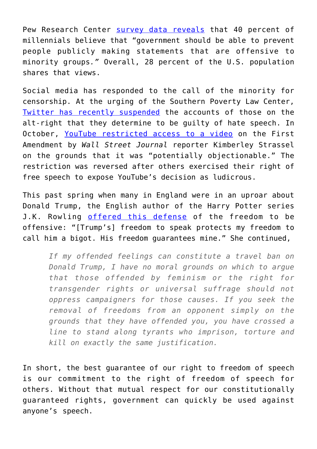Pew Research Center [survey data reveals](http://www.pewresearch.org/fact-tank/2015/11/20/40-of-millennials-ok-with-limiting-speech-offensive-to-minorities/) that 40 percent of millennials believe that "government should be able to prevent people publicly making statements that are offensive to minority groups*."* Overall, 28 percent of the U.S. population shares that views.

Social media has responded to the call of the minority for censorship. At the urging of the Southern Poverty Law Center, [Twitter has recently suspended](http://www.usatoday.com/story/tech/news/2016/11/15/twitter-suspends-alt-right-accounts/93943194/) the accounts of those on the alt-right that they determine to be guilty of hate speech. In October, [YouTube restricted access to a video](http://www.wsj.com/articles/youtube-and-prageru-1477866319) on the First Amendment by *Wall Street Journal* reporter Kimberley Strassel on the grounds that it was "potentially objectionable." The restriction was reversed after others exercised their right of free speech to expose YouTube's decision as ludicrous.

This past spring when many in England were in an uproar about Donald Trump, the English author of the Harry Potter series J.K. Rowling [offered this defense](http://www.vox.com/2016/5/17/11689244/jk-rowling-donald-trump-free-speech) of the freedom to be offensive: "[Trump's] freedom to speak protects my freedom to call him a bigot. His freedom guarantees mine." She continued,

*If my offended feelings can constitute a travel ban on Donald Trump, I have no moral grounds on which to argue that those offended by feminism or the right for transgender rights or universal suffrage should not oppress campaigners for those causes. If you seek the removal of freedoms from an opponent simply on the grounds that they have offended you, you have crossed a line to stand along tyrants who imprison, torture and kill on exactly the same justification.*

In short, the best guarantee of our right to freedom of speech is our commitment to the right of freedom of speech for others. Without that mutual respect for our constitutionally guaranteed rights, government can quickly be used against anyone's speech.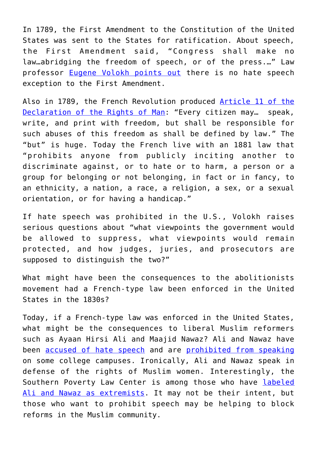In 1789, the First Amendment to the Constitution of the United States was sent to the States for ratification. About speech, the First Amendment said, "Congress shall make no law…abridging the freedom of speech, or of the press.…" Law professor [Eugene Volokh points out](http://www.washingtonpost.com/news/volokh-conspiracy/wp/2015/05/07/no-theres-no-hate-speech-exception-to-the-first-amendment/) there is no hate speech exception to the First Amendment.

Also in 1789, the French Revolution produced [Article 11 of the](https://pen.org/blog/france%E2%80%99s-laws-against-hate-speech-are-bad-news-free-speech) [Declaration of the Rights of Man](https://pen.org/blog/france%E2%80%99s-laws-against-hate-speech-are-bad-news-free-speech): "Every citizen may… speak, write, and print with freedom, but shall be responsible for such abuses of this freedom as shall be defined by law." The "but" is huge. Today the French live with an 1881 law that "prohibits anyone from publicly inciting another to discriminate against, or to hate or to harm, a person or a group for belonging or not belonging, in fact or in fancy, to an ethnicity, a nation, a race, a religion, a sex, or a sexual orientation, or for having a handicap."

If hate speech was prohibited in the U.S., Volokh raises serious questions about "what viewpoints the government would be allowed to suppress, what viewpoints would remain protected, and how judges, juries, and prosecutors are supposed to distinguish the two?"

What might have been the consequences to the abolitionists movement had a French-type law been enforced in the United States in the 1830s?

Today, if a French-type law was enforced in the United States, what might be the consequences to liberal Muslim reformers such as Ayaan Hirsi Ali and Maajid Nawaz? Ali and Nawaz have been [accused of hate speech](http://www.thedailybeast.com/articles/2016/10/29/i-m-a-muslim-reformer-why-am-i-being-smeared-as-an-anti-muslim-extremist.html) and are [prohibited from speaking](http://www.huffingtonpost.com/2014/04/10/brandeis-ayaan-hirsi-ali_n_5127792.html) on some college campuses. Ironically, Ali and Nawaz speak in defense of the rights of Muslim women. Interestingly, the Southern Poverty Law Center is among those who have [labeled](https://www.change.org/p/southern-poverty-law-center-remove-maajid-nawaz-and-ayaan-hirsi-ali-from-the-splc-s-list-of-anti-muslim-extremists) [Ali and Nawaz as extremists.](https://www.change.org/p/southern-poverty-law-center-remove-maajid-nawaz-and-ayaan-hirsi-ali-from-the-splc-s-list-of-anti-muslim-extremists) It may not be their intent, but those who want to prohibit speech may be helping to block reforms in the Muslim community.